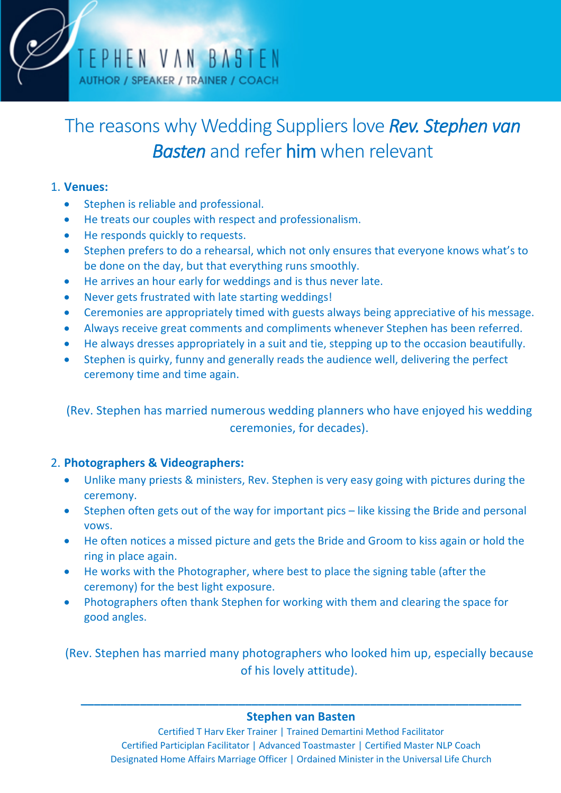

# The reasons why Wedding Suppliers love **Rev. Stephen van** *Basten* and refer him when relevant

## 1. **Venues:**

- Stephen is reliable and professional.
- He treats our couples with respect and professionalism.
- He responds quickly to requests.
- Stephen prefers to do a rehearsal, which not only ensures that everyone knows what's to be done on the day, but that everything runs smoothly.
- He arrives an hour early for weddings and is thus never late.
- Never gets frustrated with late starting weddings!
- Ceremonies are appropriately timed with guests always being appreciative of his message.
- Always receive great comments and compliments whenever Stephen has been referred.
- He always dresses appropriately in a suit and tie, stepping up to the occasion beautifully.
- Stephen is quirky, funny and generally reads the audience well, delivering the perfect ceremony time and time again.

(Rev. Stephen has married numerous wedding planners who have enjoyed his wedding ceremonies, for decades).

# 2. **Photographers & Videographers:**

- Unlike many priests & ministers, Rev. Stephen is very easy going with pictures during the ceremony.
- Stephen often gets out of the way for important pics like kissing the Bride and personal vows.
- He often notices a missed picture and gets the Bride and Groom to kiss again or hold the ring in place again.
- He works with the Photographer, where best to place the signing table (after the ceremony) for the best light exposure.
- Photographers often thank Stephen for working with them and clearing the space for good angles.

(Rev. Stephen has married many photographers who looked him up, especially because of his lovely attitude).

# **\_\_\_\_\_\_\_\_\_\_\_\_\_\_\_\_\_\_\_\_\_\_\_\_\_\_\_\_\_\_\_\_\_\_\_\_\_\_\_\_\_\_\_\_\_\_\_\_\_\_\_\_\_\_\_\_\_\_\_\_\_\_\_\_\_\_\_ Stephen van Basten**

Certified T Harv Eker Trainer | Trained Demartini Method Facilitator Certified Participlan Facilitator | Advanced Toastmaster | Certified Master NLP Coach Designated Home Affairs Marriage Officer | Ordained Minister in the Universal Life Church